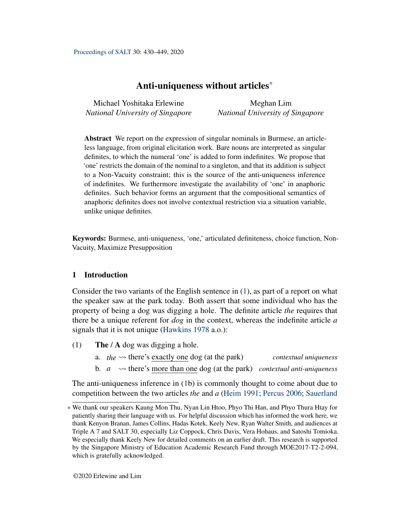<span id="page-0-1"></span>Michael Yoshitaka Erlewine *National University of Singapore*

Meghan Lim *National University of Singapore*

Abstract We report on the expression of singular nominals in Burmese, an articleless language, from original elicitation work. Bare nouns are interpreted as singular definites, to which the numeral 'one' is added to form indefinites. We propose that 'one' restricts the domain of the nominal to a singleton, and that its addition is subject to a Non-Vacuity constraint; this is the source of the anti-uniqueness inference of indefinites. We furthermore investigate the availability of 'one' in anaphoric definites. Such behavior forms an argument that the compositional semantics of anaphoric definites does not involve contextual restriction via a situation variable, unlike unique definites.

Keywords: Burmese, anti-uniqueness, 'one,' articulated definiteness, choice function, Non-Vacuity, Maximize Presupposition

# 1 Introduction

Consider the two variants of the English sentence in [\(1\)](#page-0-0), as part of a report on what the speaker saw at the park today. Both assert that some individual who has the property of being a dog was digging a hole. The definite article *the* requires that there be a unique referent for *dog* in the context, whereas the indefinite article *a* signals that it is not unique [\(Hawkins](#page-18-0) [1978](#page-18-0) a.o.):

- <span id="page-0-0"></span>(1) The  $/$  A dog was digging a hole.
	- a. *the*  $\rightsquigarrow$  there's exactly one dog (at the park) *contextual uniqueness*
	- b.  $a \rightarrow$  there's more than one dog (at the park) *contextual anti-uniqueness*

The anti-uniqueness inference in [\(1b](#page-0-0)) is commonly thought to come about due to competition between the two articles *the* and *a* [\(Heim](#page-18-1) [1991;](#page-18-1) [Percus](#page-19-0) [2006;](#page-19-0) [Sauerland](#page-19-1)

<sup>\*</sup> We thank our speakers Kaung Mon Thu, Nyan Lin Htoo, Phyo Thi Han, and Phyo Thura Htay for patiently sharing their language with us. For helpful discussion which has informed the work here, we thank Kenyon Branan, James Collins, Hadas Kotek, Keely New, Ryan Walter Smith, and audiences at Triple A 7 and SALT 30, especially Liz Coppock, Chris Davis, Vera Hohaus, and Satoshi Tomioka. We especially thank Keely New for detailed comments on an earlier draft. This research is supported by the Singapore Ministry of Education Academic Research Fund through MOE2017-T2-2-094, which is gratefully acknowledged.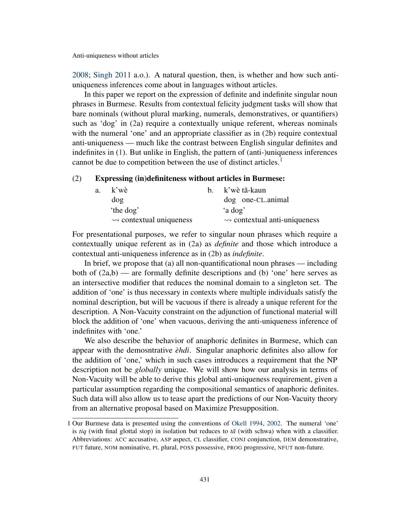[2008;](#page-19-1) [Singh](#page-19-2) [2011](#page-19-2) a.o.). A natural question, then, is whether and how such antiuniqueness inferences come about in languages without articles.

In this paper we report on the expression of definite and indefinite singular noun phrases in Burmese. Results from contextual felicity judgment tasks will show that bare nominals (without plural marking, numerals, demonstratives, or quantifiers) such as 'dog' in [\(2a](#page-1-0)) require a contextually unique referent, whereas nominals with the numeral 'one' and an appropriate classifier as in [\(2b](#page-1-0)) require contextual anti-uniqueness — much like the contrast between English singular definites and indefinites in [\(1\)](#page-0-0). But unlike in English, the pattern of (anti-)uniqueness inferences cannot be due to competition between the use of distinct articles.<sup>[1](#page-0-1)</sup>

#### <span id="page-1-0"></span>(2) Expressing (in)definiteness without articles in Burmese:

| a. k'wè                                  | b. k'wè tă-kaun                               |
|------------------------------------------|-----------------------------------------------|
| dog                                      | dog one-CL.animal                             |
| 'the dog'                                | 'a dog'                                       |
| $\rightsquigarrow$ contextual uniqueness | $\rightsquigarrow$ contextual anti-uniqueness |
|                                          |                                               |

For presentational purposes, we refer to singular noun phrases which require a contextually unique referent as in [\(2a](#page-1-0)) as *definite* and those which introduce a contextual anti-uniqueness inference as in [\(2b](#page-1-0)) as *indefinite*.

In brief, we propose that (a) all non-quantificational noun phrases — including both of  $(2a,b)$  $(2a,b)$  — are formally definite descriptions and (b) 'one' here serves as an intersective modifier that reduces the nominal domain to a singleton set. The addition of 'one' is thus necessary in contexts where multiple individuals satisfy the nominal description, but will be vacuous if there is already a unique referent for the description. A Non-Vacuity constraint on the adjunction of functional material will block the addition of 'one' when vacuous, deriving the anti-uniqueness inference of indefinites with 'one.'

We also describe the behavior of anaphoric definites in Burmese, which can appear with the demosntrative *èhdi*. Singular anaphoric definites also allow for the addition of 'one,' which in such cases introduces a requirement that the NP description not be *globally* unique. We will show how our analysis in terms of Non-Vacuity will be able to derive this global anti-uniqueness requirement, given a particular assumption regarding the compositional semantics of anaphoric definites. Such data will also allow us to tease apart the predictions of our Non-Vacuity theory from an alternative proposal based on Maximize Presupposition.

<sup>1</sup> Our Burmese data is presented using the conventions of [Okell](#page-19-3) [1994,](#page-19-3) [2002.](#page-19-4) The numeral 'one' is *tiq* (with final glottal stop) in isolation but reduces to  $t\tilde{a}$  (with schwa) when with a classifier. Abbreviations: ACC accusative, ASP aspect, CL classifier, CONJ conjunction, DEM demonstrative, FUT future, NOM nominative, PL plural, POSS possessive, PROG progressive, NFUT non-future.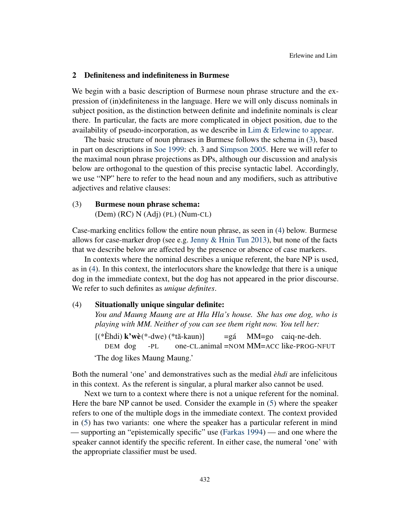#### <span id="page-2-2"></span>2 Definiteness and indefiniteness in Burmese

We begin with a basic description of Burmese noun phrase structure and the expression of (in)definiteness in the language. Here we will only discuss nominals in subject position, as the distinction between definite and indefinite nominals is clear there. In particular, the facts are more complicated in object position, due to the availability of pseudo-incorporation, as we describe in [Lim & Erlewine](#page-18-2) [to appear.](#page-18-2)

The basic structure of noun phrases in Burmese follows the schema in [\(3\)](#page-2-0), based in part on descriptions in [Soe](#page-19-5) [1999:](#page-19-5) ch. 3 and [Simpson](#page-19-6) [2005.](#page-19-6) Here we will refer to the maximal noun phrase projections as DPs, although our discussion and analysis below are orthogonal to the question of this precise syntactic label. Accordingly, we use "NP" here to refer to the head noun and any modifiers, such as attributive adjectives and relative clauses:

# <span id="page-2-0"></span>(3) Burmese noun phrase schema:

(Dem) (RC) N (Adj) (PL) (Num-CL)

Case-marking enclitics follow the entire noun phrase, as seen in [\(4\)](#page-2-1) below. Burmese allows for case-marker drop (see e.g. [Jenny & Hnin Tun](#page-18-3) [2013\)](#page-18-3), but none of the facts that we describe below are affected by the presence or absence of case markers.

In contexts where the nominal describes a unique referent, the bare NP is used, as in [\(4\)](#page-2-1). In this context, the interlocutors share the knowledge that there is a unique dog in the immediate context, but the dog has not appeared in the prior discourse. We refer to such definites as *unique definites*.

#### <span id="page-2-1"></span>(4) Situationally unique singular definite:

*You and Maung Maung are at Hla Hla's house. She has one dog, who is playing with MM. Neither of you can see them right now. You tell her:*

 $[(\text{``Èhdi}) \mathbf{k' w} \cdot \text{``-dwe}) (\text{``tă-kaun)}]$ DEM dog -PL one-CL.animal =NOM MM=ACC like-PROG-NFUT  $=$ gá MM=go caiq-ne-deh. 'The dog likes Maung Maung.'

Both the numeral 'one' and demonstratives such as the medial *èhdi* are infelicitous in this context. As the referent is singular, a plural marker also cannot be used.

Next we turn to a context where there is not a unique referent for the nominal. Here the bare NP cannot be used. Consider the example in [\(5\)](#page-3-0) where the speaker refers to one of the multiple dogs in the immediate context. The context provided in [\(5\)](#page-3-0) has two variants: one where the speaker has a particular referent in mind — supporting an "epistemically specific" use [\(Farkas](#page-18-4) [1994\)](#page-18-4) — and one where the speaker cannot identify the specific referent. In either case, the numeral 'one' with the appropriate classifier must be used.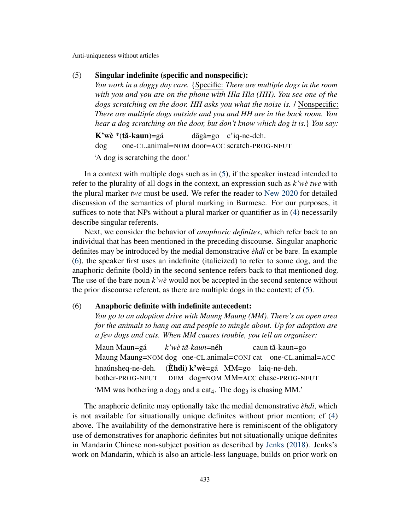#### <span id="page-3-0"></span>(5) Singular indefinite (specific and nonspecific):

*You work in a doggy day care.* {Specific: *There are multiple dogs in the room with you and you are on the phone with Hla Hla (HH). You see one of the dogs scratching on the door. HH asks you what the noise is.* / Nonspecific: *There are multiple dogs outside and you and HH are in the back room. You hear a dog scratching on the door, but don't know which dog it is.*} *You say:*

K'wè \*(**tă-kaun**)=gá dog one-CL.animal=NOM door=ACC scratch-PROG-NFUT dăgà=go c'iq-ne-deh.

'A dog is scratching the door.'

In a context with multiple dogs such as in [\(5\)](#page-3-0), if the speaker instead intended to refer to the plurality of all dogs in the context, an expression such as *k'wè twe* with the plural marker *twe* must be used. We refer the reader to [New](#page-18-5) [2020](#page-18-5) for detailed discussion of the semantics of plural marking in Burmese. For our purposes, it suffices to note that NPs without a plural marker or quantifier as in [\(4\)](#page-2-1) necessarily describe singular referents.

Next, we consider the behavior of *anaphoric definites*, which refer back to an individual that has been mentioned in the preceding discourse. Singular anaphoric definites may be introduced by the medial demonstrative *èhdi* or be bare. In example [\(6\)](#page-3-1), the speaker first uses an indefinite (italicized) to refer to some dog, and the anaphoric definite (bold) in the second sentence refers back to that mentioned dog. The use of the bare noun *k'wè* would not be accepted in the second sentence without the prior discourse referent, as there are multiple dogs in the context; cf [\(5\)](#page-3-0).

## <span id="page-3-1"></span>(6) Anaphoric definite with indefinite antecedent:

*You go to an adoption drive with Maung Maung (MM). There's an open area for the animals to hang out and people to mingle about. Up for adoption are a few dogs and cats. When MM causes trouble, you tell an organiser:*

Maun Maun=gá Maung Maung=NOM dog one-CL.animal=CONJ cat one-CL.animal=ACC *k'wè t ˘a*-*kaun*=néh caun tă-kaun<mark>=</mark>go hnaúnsheq-ne-deh. bother-PROG-NFUT (Èhdi) k'wè=gá MM=go laiq-ne-deh. DEM dog=NOM MM=ACC chase-PROG-NFUT 'MM was bothering a dog<sub>3</sub> and a cat<sub>4</sub>. The dog<sub>3</sub> is chasing MM.'

The anaphoric definite may optionally take the medial demonstrative *èhdi*, which is not available for situationally unique definites without prior mention; cf [\(4\)](#page-2-1) above. The availability of the demonstrative here is reminiscent of the obligatory use of demonstratives for anaphoric definites but not situationally unique definites in Mandarin Chinese non-subject position as described by [Jenks](#page-18-6) [\(2018\)](#page-18-6). Jenks's work on Mandarin, which is also an article-less language, builds on prior work on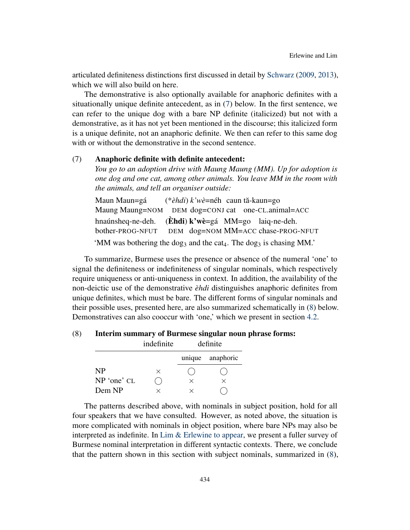articulated definiteness distinctions first discussed in detail by [Schwarz](#page-19-7) [\(2009,](#page-19-7) [2013\)](#page-19-8), which we will also build on here.

The demonstrative is also optionally available for anaphoric definites with a situationally unique definite antecedent, as in [\(7\)](#page-4-0) below. In the first sentence, we can refer to the unique dog with a bare NP definite (italicized) but not with a demonstrative, as it has not yet been mentioned in the discourse; this italicized form is a unique definite, not an anaphoric definite. We then can refer to this same dog with or without the demonstrative in the second sentence.

# <span id="page-4-0"></span>(7) Anaphoric definite with definite antecedent:

*You go to an adoption drive with Maung Maung (MM). Up for adoption is one dog and one cat, among other animals. You leave MM in the room with the animals, and tell an organiser outside:*

| Maun Maun=gá                                                                 | (* <i>èhdi</i> ) k'wè=néh caun tă-kaun=go |  |  |
|------------------------------------------------------------------------------|-------------------------------------------|--|--|
| Maung Maung=NOM DEM dog=CONJ cat one-CL.animal=ACC                           |                                           |  |  |
| hnaúnsheq-ne-deh. ( <b>Èhdi</b> ) $k'w\hat{e} = g\hat{a}$ MM=go laiq-ne-deh. |                                           |  |  |
| bother-PROG-NFUT DEM dog=NOM MM=ACC chase-PROG-NFUT                          |                                           |  |  |
|                                                                              |                                           |  |  |

'MM was bothering the dog<sub>3</sub> and the cat<sub>4</sub>. The dog<sub>3</sub> is chasing MM.'

To summarize, Burmese uses the presence or absence of the numeral 'one' to signal the definiteness or indefiniteness of singular nominals, which respectively require uniqueness or anti-uniqueness in context. In addition, the availability of the non-deictic use of the demonstrative *èhdi* distinguishes anaphoric definites from unique definites, which must be bare. The different forms of singular nominals and their possible uses, presented here, are also summarized schematically in [\(8\)](#page-4-1) below. Demonstratives can also cooccur with 'one,' which we present in section [4.2.](#page-12-0)

# <span id="page-4-1"></span>(8) Interim summary of Burmese singular noun phrase forms:

|             | indefinite | definite |                  |  |
|-------------|------------|----------|------------------|--|
|             |            |          | unique anaphoric |  |
| <b>NP</b>   | $\times$   |          |                  |  |
| NP 'one' CL |            | $\times$ | $\times$         |  |
| Dem NP      |            | ×        |                  |  |

The patterns described above, with nominals in subject position, hold for all four speakers that we have consulted. However, as noted above, the situation is more complicated with nominals in object position, where bare NPs may also be interpreted as indefinite. In [Lim & Erlewine](#page-18-2) [to appear,](#page-18-2) we present a fuller survey of Burmese nominal interpretation in different syntactic contexts. There, we conclude that the pattern shown in this section with subject nominals, summarized in [\(8\)](#page-4-1),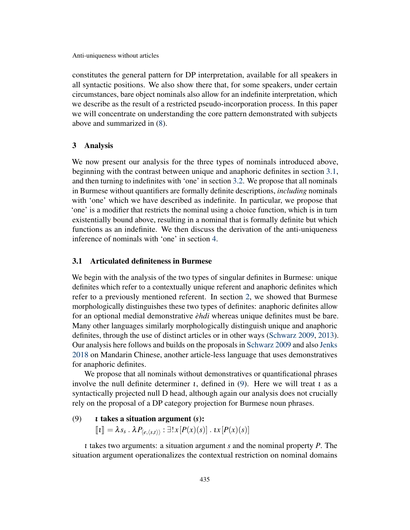constitutes the general pattern for DP interpretation, available for all speakers in all syntactic positions. We also show there that, for some speakers, under certain circumstances, bare object nominals also allow for an indefinite interpretation, which we describe as the result of a restricted pseudo-incorporation process. In this paper we will concentrate on understanding the core pattern demonstrated with subjects above and summarized in [\(8\)](#page-4-1).

# <span id="page-5-2"></span>3 Analysis

We now present our analysis for the three types of nominals introduced above, beginning with the contrast between unique and anaphoric definites in section [3.1,](#page-5-0) and then turning to indefinites with 'one' in section [3.2.](#page-7-0) We propose that all nominals in Burmese without quantifiers are formally definite descriptions, *including* nominals with 'one' which we have described as indefinite. In particular, we propose that 'one' is a modifier that restricts the nominal using a choice function, which is in turn existentially bound above, resulting in a nominal that is formally definite but which functions as an indefinite. We then discuss the derivation of the anti-uniqueness inference of nominals with 'one' in section [4.](#page-9-0)

# <span id="page-5-0"></span>3.1 Articulated definiteness in Burmese

We begin with the analysis of the two types of singular definites in Burmese: unique definites which refer to a contextually unique referent and anaphoric definites which refer to a previously mentioned referent. In section [2,](#page-2-2) we showed that Burmese morphologically distinguishes these two types of definites: anaphoric definites allow for an optional medial demonstrative *èhdi* whereas unique definites must be bare. Many other languages similarly morphologically distinguish unique and anaphoric definites, through the use of distinct articles or in other ways [\(Schwarz](#page-19-7) [2009,](#page-19-7) [2013\)](#page-19-8). Our analysis here follows and builds on the proposals in [Schwarz](#page-19-7) [2009](#page-19-7) and also [Jenks](#page-18-6) [2018](#page-18-6) on Mandarin Chinese, another article-less language that uses demonstratives for anaphoric definites.

We propose that all nominals without demonstratives or quantificational phrases involve the null definite determiner *ι*, defined in [\(9\)](#page-5-1). Here we will treat *ι* as a syntactically projected null D head, although again our analysis does not crucially rely on the proposal of a DP category projection for Burmese noun phrases.

#### <span id="page-5-1"></span>(9) ι takes a situation argument (*s*):

 $\llbracket \iota \rrbracket = \lambda s_s \cdot \lambda P_{\langle e, \langle s, t \rangle \rangle} : \exists! x [P(x)(s)] \cdot \iota x [P(x)(s)]$ 

ι takes two arguments: a situation argument *s* and the nominal property *P*. The situation argument operationalizes the contextual restriction on nominal domains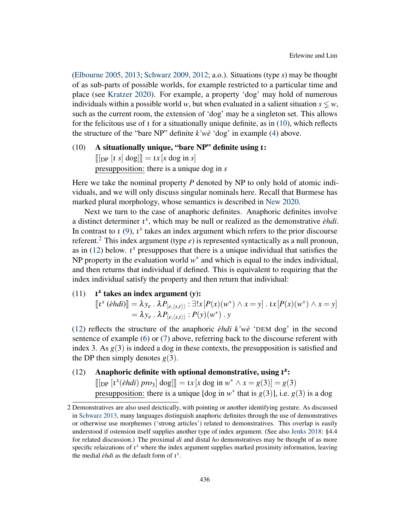[\(Elbourne](#page-18-7) [2005,](#page-18-7) [2013;](#page-18-8) [Schwarz](#page-19-7) [2009,](#page-19-7) [2012;](#page-19-9) a.o.). Situations (type *s*) may be thought of as sub-parts of possible worlds, for example restricted to a particular time and place (see [Kratzer](#page-18-9) [2020\)](#page-18-9). For example, a property 'dog' may hold of numerous individuals within a possible world *w*, but when evaluated in a salient situation  $s \leq w$ , such as the current room, the extension of 'dog' may be a singleton set. This allows for the felicitous use of  $\iota$  for a situationally unique definite, as in [\(10\)](#page-6-0), which reflects the structure of the "bare NP" definite *k'wè* 'dog' in example [\(4\)](#page-2-1) above.

# <span id="page-6-0"></span>(10) A situationally unique, "bare NP" definite using ι:  $\llbracket \left[ \rho \left[ t \right] s \right] \deg \rrbracket = \iota x \left[ x \deg \mathbf{in} s \right]$ presupposition: there is a unique dog in *s*

Here we take the nominal property *P* denoted by NP to only hold of atomic individuals, and we will only discuss singular nominals here. Recall that Burmese has marked plural morphology, whose semantics is described in [New](#page-18-5) [2020.](#page-18-5)

Next we turn to the case of anaphoric definites. Anaphoric definites involve a distinct determiner ι *x* , which may be null or realized as the demonstrative *èhdi*. In contrast to  $\iota$  [\(9\)](#page-5-1),  $\iota^x$  takes an index argument which refers to the prior discourse referent.[2](#page-0-1) This index argument (type *e*) is represented syntactically as a null pronoun, as in  $(12)$  below.  $\mathfrak{t}^x$  presupposes that there is a unique individual that satisfies the NP property in the evaluation world  $w^*$  and which is equal to the index individual, and then returns that individual if defined. This is equivalent to requiring that the index individual satisfy the property and then return that individual:

#### <span id="page-6-2"></span> $(11)$ *x* takes an index argument (*y*):

 $\llbracket t^x \left( \hat{e}hdi \right) \rrbracket = \lambda y_e \cdot \lambda P_{\langle e, \langle s, t \rangle \rangle} : \exists! x \left[ P(x)(w^*) \wedge x = y \right] \cdot \iota x \left[ P(x)(w^*) \wedge x = y \right]$  $= \lambda y_e$  .  $\lambda P_{\langle e, \langle s, t \rangle \rangle} : P(y)(w^*)$  . *y* 

[\(12\)](#page-6-1) reflects the structure of the anaphoric *èhdi k'wè* 'DEM dog' in the second sentence of example [\(6\)](#page-3-1) or [\(7\)](#page-4-0) above, referring back to the discourse referent with index 3. As  $g(3)$  is indeed a dog in these contexts, the presupposition is satisfied and the DP then simply denotes  $g(3)$ .

# <span id="page-6-1"></span>(12) Anaphoric definite with optional demonstrative, using  $t^x$ :

 $[[\text{DP } [t^x(\hat{e}hdi) pro_3] \text{ dog}]] = tx[x \text{ dog in } w^* \wedge x = g(3)] = g(3)$ presupposition: there is a unique [dog in  $w^*$  that is  $g(3)$ ], i.e.  $g(3)$  is a dog

<sup>2</sup> Demonstratives are also used deictically, with pointing or another identifying gesture. As discussed in [Schwarz](#page-19-8) [2013,](#page-19-8) many languages distinguish anaphoric definites through the use of demonstratives or otherwise use morphemes ('strong articles') related to demonstratives. This overlap is easily understood if ostension itself supplies another type of index argument. (See also [Jenks](#page-18-6) [2018:](#page-18-6) §4.4 for related discussion.) The proximal *di* and distal *ho* demonstratives may be thought of as more specific relaizations of  $t^x$  where the index argument supplies marked proximity information, leaving the medial  $\partial hdi$  as the default form of  $\iota^x$ .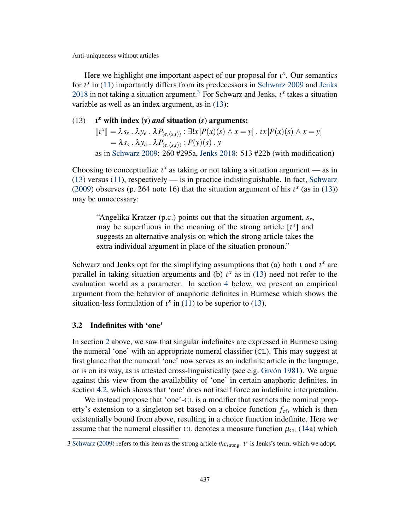Here we highlight one important aspect of our proposal for  $t^x$ . Our semantics for  $\mathfrak{t}^x$  in [\(11\)](#page-6-2) importantly differs from its predecessors in [Schwarz](#page-19-7) [2009](#page-19-7) and [Jenks](#page-18-6) [2018](#page-18-6) in not taking a situation argument.<sup>[3](#page-0-1)</sup> For Schwarz and Jenks,  $\iota^x$  takes a situation variable as well as an index argument, as in [\(13\)](#page-7-1):

#### <span id="page-7-1"></span> $(13)$ *<sup>x</sup>* with index (*y*) *and* situation (*s*) arguments:

 $\llbracket \mathbf{u}^x \rrbracket = \lambda s_s \cdot \lambda y_e \cdot \lambda P_{\langle e, \langle s, t \rangle \rangle} : \exists! x [P(x)(s) \wedge x = y] \cdot \mathbf{u}^x [P(x)(s) \wedge x = y]$  $=\lambda s_s$  .  $\lambda y_e$  .  $\lambda P_{\langle e, \langle s, t \rangle \rangle}$  :  $P(y)(s)$  .  $y$ as in [Schwarz](#page-19-7) [2009:](#page-19-7) 260 #295a, [Jenks](#page-18-6) [2018:](#page-18-6) 513 #22b (with modification)

Choosing to conceptualize  $t^x$  as taking or not taking a situation argument — as in [\(13\)](#page-7-1) versus [\(11\)](#page-6-2), respectively — is in practice indistinguishable. In fact, [Schwarz](#page-19-7) [\(2009\)](#page-19-7) observes (p. 264 note 16) that the situation argument of his  $\iota^x$  (as in [\(13\)](#page-7-1)) may be unnecessary:

"Angelika Kratzer (p.c.) points out that the situation argument, *s<sup>r</sup>* , may be superfluous in the meaning of the strong article  $\lbrack i^x \rbrack$  and suggests an alternative analysis on which the strong article takes the extra individual argument in place of the situation pronoun."

Schwarz and Jenks opt for the simplifying assumptions that (a) both  $\iota$  and  $\iota^x$  are parallel in taking situation arguments and (b)  $\iota^x$  as in [\(13\)](#page-7-1) need not refer to the evaluation world as a parameter. In section [4](#page-9-0) below, we present an empirical argument from the behavior of anaphoric definites in Burmese which shows the situation-less formulation of  $\iota^x$  in [\(11\)](#page-6-2) to be superior to [\(13\)](#page-7-1).

#### <span id="page-7-0"></span>3.2 Indefinites with 'one'

In section [2](#page-2-2) above, we saw that singular indefinites are expressed in Burmese using the numeral 'one' with an appropriate numeral classifier (CL). This may suggest at first glance that the numeral 'one' now serves as an indefinite article in the language, or is on its way, as is attested cross-linguistically (see e.g. [Givón](#page-18-10) [1981\)](#page-18-10). We argue against this view from the availability of 'one' in certain anaphoric definites, in section [4.2,](#page-12-0) which shows that 'one' does not itself force an indefinite interpretation.

We instead propose that 'one'-CL is a modifier that restricts the nominal property's extension to a singleton set based on a choice function  $f_{\rm cf}$ , which is then existentially bound from above, resulting in a choice function indefinite. Here we assume that the numeral classifier CL denotes a measure function  $\mu_{CL}$  [\(14a](#page-8-0)) which

<sup>3</sup> [Schwarz](#page-19-7) [\(2009\)](#page-19-7) refers to this item as the strong article *the*<sub>strong</sub>.  $i^x$  is Jenks's term, which we adopt.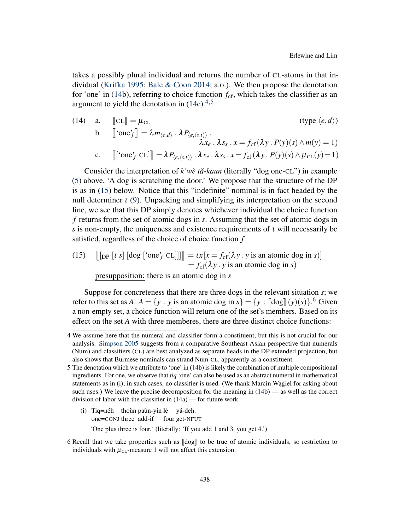takes a possibly plural individual and returns the number of CL-atoms in that individual [\(Krifka](#page-18-11) [1995;](#page-18-11) [Bale & Coon](#page-18-12) [2014;](#page-18-12) a.o.). We then propose the denotation for 'one' in [\(14b](#page-8-0)), referring to choice function  $f_{cf}$ , which takes the classifier as an argument to yield the denotation in  $(14c).<sup>4,5</sup>$  $(14c).<sup>4,5</sup>$  $(14c).<sup>4,5</sup>$  $(14c).<sup>4,5</sup>$  $(14c).<sup>4,5</sup>$  $(14c).<sup>4,5</sup>$ 

<span id="page-8-0"></span>(14) a. 
$$
[\![CL]\!] = \mu_{CL}
$$
 (type  $\langle e, d \rangle$ )  
\nb.  $[\![\text{`one'}_f]\!] = \lambda m_{\langle e,d \rangle} \cdot \lambda P_{\langle e,\langle s,t \rangle \rangle}$ .  
\n $\lambda x_e \cdot \lambda s_s \cdot x = f_{cf}(\lambda y \cdot P(y)(s) \wedge m(y) = 1)$   
\nc.  $[\![\text{`one'}_f \text{ CL}]\!] = \lambda P_{\langle e,\langle s,t \rangle \rangle} \cdot \lambda x_e \cdot \lambda s_s \cdot x = f_{cf}(\lambda y \cdot P(y)(s) \wedge \mu_{CL}(y) = 1)$ 

Consider the interpretation of  $k'w\hat{e}$  tă-kaun (literally "dog one-CL") in example [\(5\)](#page-3-0) above, 'A dog is scratching the door.' We propose that the structure of the DP is as in [\(15\)](#page-8-3) below. Notice that this "indefinite" nominal is in fact headed by the null determiner  $\iota$  [\(9\)](#page-5-1). Unpacking and simplifying its interpretation on the second line, we see that this DP simply denotes whichever individual the choice function *f* returns from the set of atomic dogs in *s*. Assuming that the set of atomic dogs in *s* is non-empty, the uniqueness and existence requirements of ι will necessarily be satisfied, regardless of the choice of choice function *f* .

<span id="page-8-3"></span>(15) 
$$
\begin{aligned} [[\text{DP }[t \text{ s}] ] [\text{dog } [^{\prime} \text{one }^{\prime} f \text{ CL}]]]] &= tx[x = f_{\text{cf}}(\lambda y \cdot y \text{ is an atomic dog in } s)] \\ &= f_{\text{cf}}(\lambda y \cdot y \text{ is an atomic dog in } s) \end{aligned}
$$

presupposition: there is an atomic dog in *s*

Suppose for concreteness that there are three dogs in the relevant situation *s*; we refer to this set as *A*:  $A = \{y : y \text{ is an atomic dog in } s\} = \{y : [\text{dog}](y)(s)\}.$ <sup>[6](#page-0-1)</sup> Given a non-empty set, a choice function will return one of the set's members. Based on its effect on the set *A* with three memberes, there are three distinct choice functions:

- (i) Tiq=néh thoùn paùn-yin lè yá-deh. one=CONJ three add-if four get-NFUT 'One plus three is four.' (literally: 'If you add 1 and 3, you get 4.')
- 6 Recall that we take properties such as  $\llbracket \text{dog} \rrbracket$  to be true of atomic individuals, so restriction to individuals with  $\mu_{CL}$ -measure 1 will not affect this extension.

<span id="page-8-1"></span><sup>4</sup> We assume here that the numeral and classifier form a constituent, but this is not crucial for our analysis. [Simpson](#page-19-6) [2005](#page-19-6) suggests from a comparative Southeast Asian perspective that numerals (Num) and classifiers (CL) are best analyzed as separate heads in the DP extended projection, but also shows that Burmese nominals can strand Num-CL, apparently as a constituent.

<span id="page-8-2"></span><sup>5</sup> The denotation which we attribute to 'one' in [\(14b](#page-8-0)) is likely the combination of multiple compositional ingredients. For one, we observe that *tiq* 'one' can also be used as an abstract numeral in mathematical statements as in (i); in such cases, no classifier is used. (We thank Marcin Wagiel for asking about such uses.) We leave the precise decomposition for the meaning in [\(14b](#page-8-0)) — as well as the correct division of labor with the classifier in [\(14a](#page-8-0)) — for future work.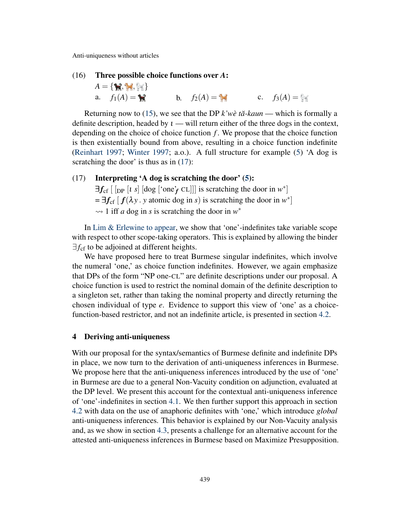#### <span id="page-9-2"></span>(16) Three possible choice functions over *A*:

 $A = \{ \mathbf{M}, \mathbf{M}, \mathbf{M} \}$ a.  $f_1(A) = \bigoplus_{i=1}^{n}$  b.  $f_2(A) = \bigoplus_{i=1}^{n}$  c.  $f_3(A) = \bigoplus_{i=1}^{n}$ 

Returning now to [\(15\)](#page-8-3), we see that the DP  $k'w\dot{e}$  tä-kaun — which is formally a definite description, headed by  $\iota$  — will return either of the three dogs in the context, depending on the choice of choice function *f* . We propose that the choice function is then existentially bound from above, resulting in a choice function indefinite [\(Reinhart](#page-19-10) [1997;](#page-19-10) [Winter](#page-19-11) [1997;](#page-19-11) a.o.). A full structure for example [\(5\)](#page-3-0) 'A dog is scratching the door' is thus as in  $(17)$ :

# <span id="page-9-1"></span> $(17)$  Interpreting 'A dog is scratching the door'  $(5)$ :

 $\exists f_{cf}$  [ [<sub>DP</sub> [*t s*] [dog ['one'*f* CL]]] is scratching the door in  $w^*$ ]  $= \exists f_{\text{cf}} [f(\lambda y \cdot y \text{ atomic dog in } s) \text{ is scratching the door in } w^*]$  $\rightsquigarrow$  1 iff *a* dog in *s* is scratching the door in  $w^*$ 

In [Lim & Erlewine](#page-18-2) [to appear,](#page-18-2) we show that 'one'-indefinites take variable scope with respect to other scope-taking operators. This is explained by allowing the binder  $\exists f_{cf}$  to be adjoined at different heights.

We have proposed here to treat Burmese singular indefinites, which involve the numeral 'one,' as choice function indefinites. However, we again emphasize that DPs of the form "NP one-CL" are definite descriptions under our proposal. A choice function is used to restrict the nominal domain of the definite description to a singleton set, rather than taking the nominal property and directly returning the chosen individual of type *e*. Evidence to support this view of 'one' as a choicefunction-based restrictor, and not an indefinite article, is presented in section [4.2.](#page-12-0)

#### <span id="page-9-0"></span>4 Deriving anti-uniqueness

With our proposal for the syntax/semantics of Burmese definite and indefinite DPs in place, we now turn to the derivation of anti-uniqueness inferences in Burmese. We propose here that the anti-uniqueness inferences introduced by the use of 'one' in Burmese are due to a general Non-Vacuity condition on adjunction, evaluated at the DP level. We present this account for the contextual anti-uniqueness inference of 'one'-indefinites in section [4.1.](#page-10-0) We then further support this approach in section [4.2](#page-12-0) with data on the use of anaphoric definites with 'one,' which introduce *global* anti-uniqueness inferences. This behavior is explained by our Non-Vacuity analysis and, as we show in section [4.3,](#page-15-0) presents a challenge for an alternative account for the attested anti-uniqueness inferences in Burmese based on Maximize Presupposition.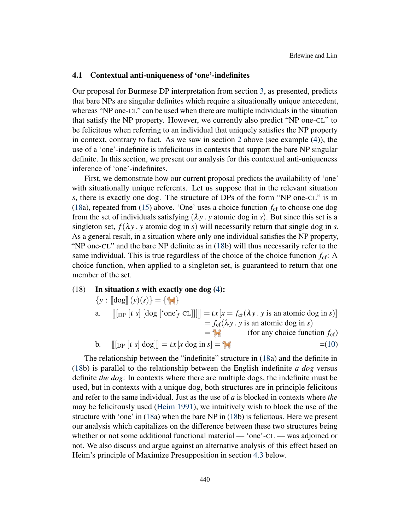# <span id="page-10-0"></span>4.1 Contextual anti-uniqueness of 'one'-indefinites

Our proposal for Burmese DP interpretation from section [3,](#page-5-2) as presented, predicts that bare NPs are singular definites which require a situationally unique antecedent, whereas "NP one-CL" can be used when there are multiple individuals in the situation that satisfy the NP property. However, we currently also predict "NP one-CL" to be felicitous when referring to an individual that uniquely satisfies the NP property in context, contrary to fact. As we saw in section [2](#page-2-2) above (see example [\(4\)](#page-2-1)), the use of a 'one'-indefinite is infelicitous in contexts that support the bare NP singular definite. In this section, we present our analysis for this contextual anti-uniqueness inference of 'one'-indefinites.

First, we demonstrate how our current proposal predicts the availability of 'one' with situationally unique referents. Let us suppose that in the relevant situation *s*, there is exactly one dog. The structure of DPs of the form "NP one-CL" is in [\(18a](#page-10-1)), repeated from [\(15\)](#page-8-3) above. 'One' uses a choice function  $f_{cf}$  to choose one dog from the set of individuals satisfying  $(\lambda y \cdot y)$  atomic dog in *s*). But since this set is a singleton set,  $f(\lambda y)$ . *y* atomic dog in *s*) will necessarily return that single dog in *s*. As a general result, in a situation where only one individual satisfies the NP property, "NP one-CL" and the bare NP definite as in [\(18b](#page-10-1)) will thus necessarily refer to the same individual. This is true regardless of the choice of the choice function  $f_{\rm cf}$ : A choice function, when applied to a singleton set, is guaranteed to return that one member of the set.

<span id="page-10-1"></span>(18) In situation *s* with exactly one dog [\(4\)](#page-2-1):

$$
\{y : [\text{dog}](y)(s)\} = \{\{\}\}
$$
\na. 
$$
[[\text{DP } [t \ s] ] \text{dog } [\text{one}_f^* \text{ CL}]]]] = tx[x = f_{cf}( \lambda y \cdot y \text{ is an atomic dog in } s)]
$$
\n
$$
= f_{cf}( \lambda y \cdot y \text{ is an atomic dog in } s)
$$
\n
$$
= f_{cf}( \lambda y \cdot y \text{ is an atomic dog in } s)
$$
\n
$$
= f_{cf}( \lambda y \cdot y \text{ is an atomic dog in } s)
$$
\n
$$
= f_{cf}( \lambda y \cdot y \text{ is an atomic dog in } s)
$$
\n
$$
= f_{cf}( \lambda y \cdot y \text{ is an atomic dog in } s)
$$
\n
$$
= f_{cf}( \lambda y \cdot y \text{ is an atomic dog in } s)
$$
\n
$$
= f_{cf}( \lambda y \cdot y \text{ is an atomic dog in } s)
$$
\n
$$
= f_{cf}( \lambda y \cdot y \text{ is an atomic dog in } s)
$$
\n
$$
= f_{cf}( \lambda y \cdot y \text{ is an atomic dog in } s)
$$
\n
$$
= f_{cf}( \lambda y \cdot y \text{ is an atomic dog in } s)
$$
\n
$$
= f_{cf}( \lambda y \cdot y \text{ is an atomic dog in } s)
$$
\n
$$
= f_{cf}( \lambda y \cdot y \text{ is an atomic dog in } s)
$$
\n
$$
= f_{cf}( \lambda y \cdot y \text{ is an atomic dog in } s)
$$
\n
$$
= f_{cf}( \lambda y \cdot y \text{ is an atomic dog in } s)
$$
\n
$$
= f_{cf}( \lambda y \cdot y \text{ is an atomic dog in } s)
$$
\n
$$
= f_{cf}( \lambda y \cdot y \text{ is an atomic dog in } s)
$$
\n
$$
= f_{cf}( \lambda y \cdot y \text{ is an atomic dog in } s)
$$
\n
$$
= f_{cf}( \lambda y \cdot y \text{ is an atomic dog in } s)
$$
\n
$$
= f_{cf}( \lambda y \cdot y \text{ is an atomic dog in } s)
$$
\n
$$
= f_{cf}( \lambda y \cdot y \text{ is an atomic dog in } s)
$$

The relationship between the "indefinite" structure in [\(18a](#page-10-1)) and the definite in [\(18b](#page-10-1)) is parallel to the relationship between the English indefinite *a dog* versus definite *the dog*: In contexts where there are multiple dogs, the indefinite must be used, but in contexts with a unique dog, both structures are in principle felicitous and refer to the same individual. Just as the use of *a* is blocked in contexts where *the* may be felicitously used [\(Heim](#page-18-1) [1991\)](#page-18-1), we intuitively wish to block the use of the structure with 'one' in [\(18a](#page-10-1)) when the bare NP in [\(18b](#page-10-1)) is felicitous. Here we present our analysis which capitalizes on the difference between these two structures being whether or not some additional functional material — 'one'-CL — was adjoined or not. We also discuss and argue against an alternative analysis of this effect based on Heim's principle of Maximize Presupposition in section [4.3](#page-15-0) below.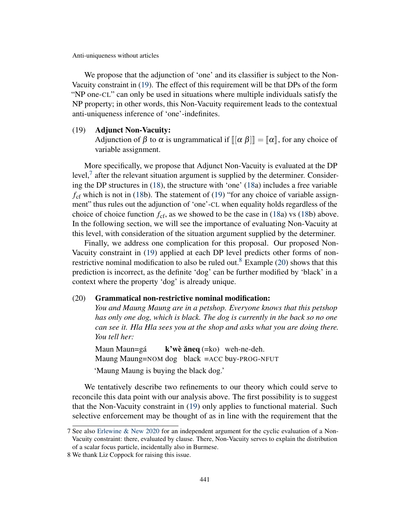We propose that the adjunction of 'one' and its classifier is subject to the Non-Vacuity constraint in [\(19\)](#page-11-0). The effect of this requirement will be that DPs of the form "NP one-CL" can only be used in situations where multiple individuals satisfy the NP property; in other words, this Non-Vacuity requirement leads to the contextual anti-uniqueness inference of 'one'-indefinites.

#### <span id="page-11-0"></span>(19) Adjunct Non-Vacuity:

Adjunction of  $\beta$  to  $\alpha$  is ungrammatical if  $\|\alpha \beta\| = \|\alpha\|$ , for any choice of variable assignment.

More specifically, we propose that Adjunct Non-Vacuity is evaluated at the DP level, $<sup>7</sup>$  $<sup>7</sup>$  $<sup>7</sup>$  after the relevant situation argument is supplied by the determiner. Consider-</sup> ing the DP structures in [\(18\)](#page-10-1), the structure with 'one' [\(18a](#page-10-1)) includes a free variable  $f_{\rm cf}$  which is not in [\(18b](#page-10-1)). The statement of [\(19\)](#page-11-0) "for any choice of variable assignment" thus rules out the adjunction of 'one'-CL when equality holds regardless of the choice of choice function  $f_{\rm cf}$ , as we showed to be the case in [\(18a](#page-10-1)) vs [\(18b](#page-10-1)) above. In the following section, we will see the importance of evaluating Non-Vacuity at this level, with consideration of the situation argument supplied by the determiner.

Finally, we address one complication for this proposal. Our proposed Non-Vacuity constraint in [\(19\)](#page-11-0) applied at each DP level predicts other forms of non-restrictive nominal modification to also be ruled out.<sup>[8](#page-0-1)</sup> Example [\(20\)](#page-11-1) shows that this prediction is incorrect, as the definite 'dog' can be further modified by 'black' in a context where the property 'dog' is already unique.

## <span id="page-11-1"></span>(20) Grammatical non-restrictive nominal modification:

*You and Maung Maung are in a petshop. Everyone knows that this petshop has only one dog, which is black. The dog is currently in the back so no one can see it. Hla Hla sees you at the shop and asks what you are doing there. You tell her:*

Maun Maun=gá Maung Maung=NOM dog black =ACC buy-PROG-NFUT  $k'$ wè ăneq  $(=\text{k0})$  weh-ne-deh. 'Maung Maung is buying the black dog.'

We tentatively describe two refinements to our theory which could serve to reconcile this data point with our analysis above. The first possibility is to suggest that the Non-Vacuity constraint in [\(19\)](#page-11-0) only applies to functional material. Such selective enforcement may be thought of as in line with the requirement that the

<sup>7</sup> See also [Erlewine & New](#page-18-13) [2020](#page-18-13) for an independent argument for the cyclic evaluation of a Non-Vacuity constraint: there, evaluated by clause. There, Non-Vacuity serves to explain the distribution of a scalar focus particle, incidentally also in Burmese.

<sup>8</sup> We thank Liz Coppock for raising this issue.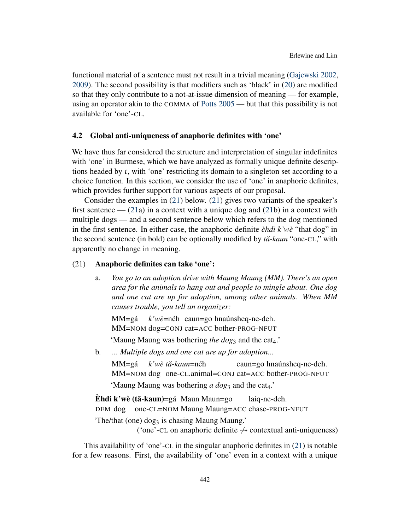functional material of a sentence must not result in a trivial meaning [\(Gajewski](#page-18-14) [2002,](#page-18-14) [2009\)](#page-18-15). The second possibility is that modifiers such as 'black' in [\(20\)](#page-11-1) are modified so that they only contribute to a not-at-issue dimension of meaning — for example, using an operator akin to the COMMA of [Potts](#page-19-12) [2005](#page-19-12) — but that this possibility is not available for 'one'-CL.

## <span id="page-12-0"></span>4.2 Global anti-uniqueness of anaphoric definites with 'one'

We have thus far considered the structure and interpretation of singular indefinites with 'one' in Burmese, which we have analyzed as formally unique definite descriptions headed by ι, with 'one' restricting its domain to a singleton set according to a choice function. In this section, we consider the use of 'one' in anaphoric definites, which provides further support for various aspects of our proposal.

Consider the examples in [\(21\)](#page-12-1) below. [\(21\)](#page-12-1) gives two variants of the speaker's first sentence  $-$  [\(21a](#page-12-1)) in a context with a unique dog and [\(21b](#page-12-1)) in a context with multiple dogs — and a second sentence below which refers to the dog mentioned in the first sentence. In either case, the anaphoric definite *èhdi k'wè* "that dog" in the second sentence (in bold) can be optionally modified by *tă-kaun* "one-CL," with apparently no change in meaning.

#### <span id="page-12-1"></span>(21) Anaphoric definites can take 'one':

a. *You go to an adoption drive with Maung Maung (MM). There's an open area for the animals to hang out and people to mingle about. One dog and one cat are up for adoption, among other animals. When MM causes trouble, you tell an organizer:*

MM=gá MM=NOM dog=CONJ cat=ACC bother-PROG-NFUT *k'wè*=néh caun=go hnaúnsheq-ne-deh.

'Maung Maung was bothering *the dog*<sub>3</sub> and the cat<sub>4</sub>.'

b. *... Multiple dogs and one cat are up for adoption...*

MM=gá MM=NOM dog one-CL.animal=CONJ cat=ACC bother-PROG-NFUT *k'wè t ˘a*-*kaun*=néh caun=go hnaúnsheq-ne-deh.

'Maung Maung was bothering *a dog*<sub>3</sub> and the cat<sub>4</sub>.'

È**hdi k'wè (tă-kaun)=**gá Maun Maun=go DEM dog one-CL=NOM Maung Maung=ACC chase-PROG-NFUT laiq-ne-deh. 'The/that (one) dog<sub>3</sub> is chasing Maung Maung.'

('one'-CL on anaphoric definite  $\leftrightarrow$  contextual anti-uniqueness)

This availability of 'one'-CL in the singular anaphoric definites in [\(21\)](#page-12-1) is notable for a few reasons. First, the availability of 'one' even in a context with a unique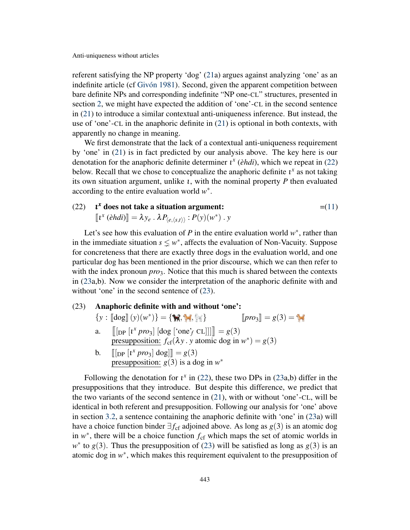referent satisfying the NP property 'dog' [\(21a](#page-12-1)) argues against analyzing 'one' as an indefinite article (cf [Givón](#page-18-10) [1981\)](#page-18-10). Second, given the apparent competition between bare definite NPs and corresponding indefinite "NP one-CL" structures, presented in section [2,](#page-2-2) we might have expected the addition of 'one'-CL in the second sentence in [\(21\)](#page-12-1) to introduce a similar contextual anti-uniqueness inference. But instead, the use of 'one'-CL in the anaphoric definite in [\(21\)](#page-12-1) is optional in both contexts, with apparently no change in meaning.

We first demonstrate that the lack of a contextual anti-uniqueness requirement by 'one' in [\(21\)](#page-12-1) is in fact predicted by our analysis above. The key here is our denotation for the anaphoric definite determiner  $i^x$  (*èhdi*), which we repeat in [\(22\)](#page-13-0) below. Recall that we chose to conceptualize the anaphoric definite  $\mathbf{t}^x$  as not taking its own situation argument, unlike ι, with the nominal property *P* then evaluated according to the entire evaluation world *w* ∗ .

<span id="page-13-0"></span>(22) **t<sup>x</sup> does not take a situation argument:** 
$$
= (11)
$$

$$
[ix (èhdi)] = \lambda y_e \cdot \lambda P_{\langle e, \langle s, t \rangle \rangle} : P(y)(w^*) \cdot y
$$

Let's see how this evaluation of *P* in the entire evaluation world  $w^*$ , rather than in the immediate situation  $s \leq w^*$ , affects the evaluation of Non-Vacuity. Suppose for concreteness that there are exactly three dogs in the evaluation world, and one particular dog has been mentioned in the prior discourse, which we can then refer to with the index pronoun  $pro_3$ . Notice that this much is shared between the contexts in [\(23a](#page-13-1),b). Now we consider the interpretation of the anaphoric definite with and without 'one' in the second sentence of  $(23)$ .

# <span id="page-13-1"></span>(23) Anaphoric definite with and without 'one':

|  | $\{y : [\![\log]\!](y)(w^*)\} = \{\mathcal{X}, \mathcal{Y}, \mathcal{Y}\}\$       | $[pro_3] = g(3) = \frac{4}{10}$ |
|--|-----------------------------------------------------------------------------------|---------------------------------|
|  | a. $\ [\text{DP}[t^x pro_3] [\text{dog } [\text{one } t^c \text{ CL}]]]\  = g(3)$ |                                 |
|  | presupposition: $f_{cf}(\lambda y \cdot y \text{ atomic dog in } w^*) = g(3)$     |                                 |
|  |                                                                                   |                                 |

b.  $[[\text{DP }[i^x pro_3] \text{ dog}]] = g(3)$ <br>progupposition:  $g(3)$  is a defined presupposition:  $g(3)$  is a dog in  $w^*$ 

Following the denotation for  $\iota^x$  in [\(22\)](#page-13-0), these two DPs in [\(23a](#page-13-1),b) differ in the presuppositions that they introduce. But despite this difference, we predict that the two variants of the second sentence in [\(21\)](#page-12-1), with or without 'one'-CL, will be identical in both referent and presupposition. Following our analysis for 'one' above in section [3.2,](#page-7-0) a sentence containing the anaphoric definite with 'one' in [\(23a](#page-13-1)) will have a choice function binder  $\exists f_{cf}$  adjoined above. As long as  $g(3)$  is an atomic dog in  $w^*$ , there will be a choice function  $f_{cf}$  which maps the set of atomic worlds in  $w^*$  to *g*(3). Thus the presupposition of [\(23\)](#page-13-1) will be satisfied as long as *g*(3) is an atomic dog in  $w^*$ , which makes this requirement equivalent to the presupposition of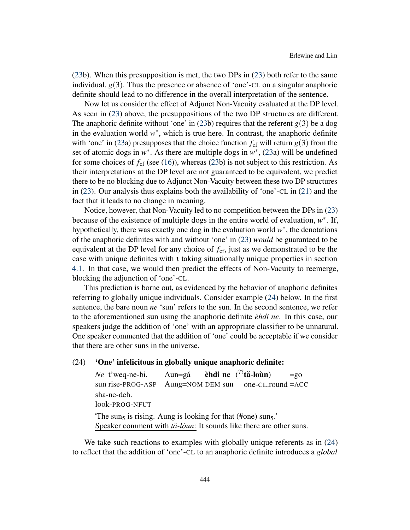[\(23b](#page-13-1)). When this presupposition is met, the two DPs in [\(23\)](#page-13-1) both refer to the same individual,  $g(3)$ . Thus the presence or absence of 'one'-CL on a singular anaphoric definite should lead to no difference in the overall interpretation of the sentence.

Now let us consider the effect of Adjunct Non-Vacuity evaluated at the DP level. As seen in [\(23\)](#page-13-1) above, the presuppositions of the two DP structures are different. The anaphoric definite without 'one' in [\(23b](#page-13-1)) requires that the referent  $g(3)$  be a dog in the evaluation world  $w^*$ , which is true here. In contrast, the anaphoric definite with 'one' in [\(23a](#page-13-1)) presupposes that the choice function  $f_{cf}$  will return  $g(3)$  from the set of atomic dogs in  $w^*$ . As there are multiple dogs in  $w^*$ , [\(23a](#page-13-1)) will be undefined for some choices of  $f_{\rm cf}$  (see [\(16\)](#page-9-2)), whereas [\(23b](#page-13-1)) is not subject to this restriction. As their interpretations at the DP level are not guaranteed to be equivalent, we predict there to be no blocking due to Adjunct Non-Vacuity between these two DP structures in [\(23\)](#page-13-1). Our analysis thus explains both the availability of 'one'-CL in [\(21\)](#page-12-1) and the fact that it leads to no change in meaning.

Notice, however, that Non-Vacuity led to no competition between the DPs in [\(23\)](#page-13-1) because of the existence of multiple dogs in the entire world of evaluation, *w* ∗ . If, hypothetically, there was exactly one dog in the evaluation world  $w^*$ , the denotations of the anaphoric definites with and without 'one' in [\(23\)](#page-13-1) *would* be guaranteed to be equivalent at the DP level for any choice of *f*cf, just as we demonstrated to be the case with unique definites with  $\iota$  taking situationally unique properties in section [4.1.](#page-10-0) In that case, we would then predict the effects of Non-Vacuity to reemerge, blocking the adjunction of 'one'-CL.

This prediction is borne out, as evidenced by the behavior of anaphoric definites referring to globally unique individuals. Consider example [\(24\)](#page-14-0) below. In the first sentence, the bare noun *ne* 'sun' refers to the sun. In the second sentence, we refer to the aforementioned sun using the anaphoric definite *èhdi ne*. In this case, our speakers judge the addition of 'one' with an appropriate classifier to be unnatural. One speaker commented that the addition of 'one' could be acceptable if we consider that there are other suns in the universe.

# <span id="page-14-0"></span>(24) 'One' infelicitous in globally unique anaphoric definite:

*Ne* t'weq-ne-bi. sun rise-PROG-ASP Aun=gá Aung=NOM DEM sun èhdi ne  $(^{??}$ tă-loùn) one-CL.round =ACC  $=$ go sha-ne-deh. look-PROG-NFUT 'The sun<sub>5</sub> is rising. Aung is looking for that (#one) sun<sub>5</sub>.' Speaker comment with *tă-lòun*: It sounds like there are other suns.

We take such reactions to examples with globally unique referents as in  $(24)$ to reflect that the addition of 'one'-CL to an anaphoric definite introduces a *global*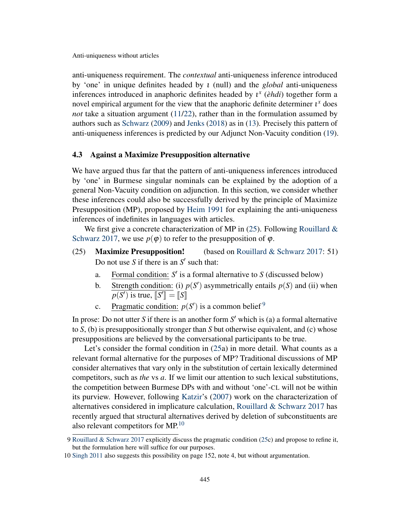anti-uniqueness requirement. The *contextual* anti-uniqueness inference introduced by 'one' in unique definites headed by ι (null) and the *global* anti-uniqueness inferences introduced in anaphoric definites headed by ι *x* (*èhdi*) together form a novel empirical argument for the view that the anaphoric definite determiner  $i^x$  does *not* take a situation argument [\(11/](#page-6-2)[22\)](#page-13-0), rather than in the formulation assumed by authors such as [Schwarz](#page-19-7) [\(2009\)](#page-19-7) and [Jenks](#page-18-6) [\(2018\)](#page-18-6) as in [\(13\)](#page-7-1). Precisely this pattern of anti-uniqueness inferences is predicted by our Adjunct Non-Vacuity condition [\(19\)](#page-11-0).

## <span id="page-15-0"></span>4.3 Against a Maximize Presupposition alternative

We have argued thus far that the pattern of anti-uniqueness inferences introduced by 'one' in Burmese singular nominals can be explained by the adoption of a general Non-Vacuity condition on adjunction. In this section, we consider whether these inferences could also be successfully derived by the principle of Maximize Presupposition (MP), proposed by [Heim](#page-18-1) [1991](#page-18-1) for explaining the anti-uniqueness inferences of indefinites in languages with articles.

We first give a concrete characterization of MP in  $(25)$ . Following [Rouillard &](#page-19-13) [Schwarz](#page-19-13) [2017,](#page-19-13) we use  $p(\varphi)$  to refer to the presupposition of  $\varphi$ .

- <span id="page-15-1"></span>(25) **Maximize Presupposition!** (based on [Rouillard & Schwarz](#page-19-13) [2017:](#page-19-13) 51) Do not use *S* if there is an  $S'$  such that:
	- a. Formal condition:  $S'$  is a formal alternative to  $S$  (discussed below)
	- b. Strength condition: (i)  $p(S')$  asymmetrically entails  $p(S)$  and (ii) when  $p(S')$  is true,  $\llbracket S' \rrbracket = \llbracket S \rrbracket$
	- c. Pragmatic condition:  $p(S')$  is a common belief <sup>[9](#page-0-1)</sup>

In prose: Do not utter  $S$  if there is an another form  $S'$  which is (a) a formal alternative to *S*, (b) is presuppositionally stronger than *S* but otherwise equivalent, and (c) whose presuppositions are believed by the conversational participants to be true.

Let's consider the formal condition in [\(25a](#page-15-1)) in more detail. What counts as a relevant formal alternative for the purposes of MP? Traditional discussions of MP consider alternatives that vary only in the substitution of certain lexically determined competitors, such as *the* vs *a*. If we limit our attention to such lexical substitutions, the competition between Burmese DPs with and without 'one'-CL will not be within its purview. However, following [Katzir'](#page-18-16)s [\(2007\)](#page-18-16) work on the characterization of alternatives considered in implicature calculation, [Rouillard & Schwarz](#page-19-13) [2017](#page-19-13) has recently argued that structural alternatives derived by deletion of subconstituents are also relevant competitors for  $MP<sup>10</sup>$  $MP<sup>10</sup>$  $MP<sup>10</sup>$ 

<sup>9</sup> [Rouillard & Schwarz](#page-19-13) [2017](#page-19-13) explicitly discuss the pragmatic condition [\(25c](#page-15-1)) and propose to refine it, but the formulation here will suffice for our purposes.

<sup>10</sup> [Singh](#page-19-2) [2011](#page-19-2) also suggests this possibility on page 152, note 4, but without argumentation.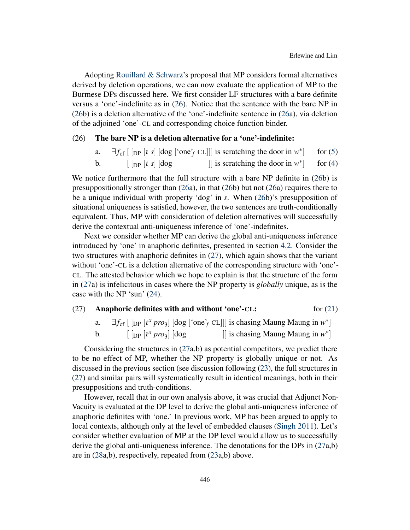Adopting [Rouillard & Schwarz'](#page-19-13)s proposal that MP considers formal alternatives derived by deletion operations, we can now evaluate the application of MP to the Burmese DPs discussed here. We first consider LF structures with a bare definite versus a 'one'-indefinite as in [\(26\)](#page-16-0). Notice that the sentence with the bare NP in [\(26b](#page-16-0)) is a deletion alternative of the 'one'-indefinite sentence in [\(26a](#page-16-0)), via deletion of the adjoined 'one'-CL and corresponding choice function binder.

### <span id="page-16-0"></span>(26) The bare NP is a deletion alternative for a 'one'-indefinite:

|    |                                                                                                                                                                                                                                                                                                                                                                                                            | $\exists f_{cf}$ [ [pp [t s] [dog ['one' <sub>f</sub> CL]]] is scratching the door in w <sup>*</sup> ] for (5) |  |
|----|------------------------------------------------------------------------------------------------------------------------------------------------------------------------------------------------------------------------------------------------------------------------------------------------------------------------------------------------------------------------------------------------------------|----------------------------------------------------------------------------------------------------------------|--|
| b. | $\left[\begin{array}{c c}$ $\begin{array}{c c}$ $\end{array}$ $\begin{array}{c c}$ $\end{array}$ $\begin{array}{c c}$ $\end{array}$ $\begin{array}{c c}$ $\end{array}$ $\begin{array}{c c}$ $\end{array}$ $\begin{array}{c c}$ $\end{array}$ $\begin{array}{c c}$ $\end{array}$ $\begin{array}{c c}$ $\end{array}$ $\begin{array}{c c}$ $\end{array}$ $\begin{array}{c c}$ $\end{array}$ $\begin{array}{c$ | is scratching the door in $w^*$   for (4)                                                                      |  |

We notice furthermore that the full structure with a bare NP definite in [\(26b](#page-16-0)) is presuppositionally stronger than [\(26a](#page-16-0)), in that [\(26b](#page-16-0)) but not [\(26a](#page-16-0)) requires there to be a unique individual with property 'dog' in *s*. When [\(26b](#page-16-0))'s presupposition of situational uniqueness is satisfied, however, the two sentences are truth-conditionally equivalent. Thus, MP with consideration of deletion alternatives will successfully derive the contextual anti-uniqueness inference of 'one'-indefinites.

Next we consider whether MP can derive the global anti-uniqueness inference introduced by 'one' in anaphoric definites, presented in section [4.2.](#page-12-0) Consider the two structures with anaphoric definites in [\(27\)](#page-16-1), which again shows that the variant without 'one'-CL is a deletion alternative of the corresponding structure with 'one'- CL. The attested behavior which we hope to explain is that the structure of the form in [\(27a](#page-16-1)) is infelicitous in cases where the NP property is *globally* unique, as is the case with the NP 'sun' [\(24\)](#page-14-0).

# <span id="page-16-1"></span>(27) Anaphoric definites with and without 'one'-CL:  $\qquad \qquad$  for [\(21\)](#page-12-1)

|    |                                                                                                                                                              | $\exists f_{cf}$ [ [pp [t <sup>x</sup> pro <sub>3</sub> ] [dog ['one' <sub>f</sub> CL]]] is chasing Maung Maung in w <sup>*</sup> ] |
|----|--------------------------------------------------------------------------------------------------------------------------------------------------------------|-------------------------------------------------------------------------------------------------------------------------------------|
| b. | $\left[\right[\rho\left[\right]\left[\right]$ $\left[\rho\right]\rho\left[\right]$ $\left[\rho\right]\rho\left[\right]$ $\left[\rho\right]\rho\left[\right]$ | is chasing Maung Maung in $w^*$                                                                                                     |

Considering the structures in  $(27a,b)$  $(27a,b)$  as potential competitors, we predict there to be no effect of MP, whether the NP property is globally unique or not. As discussed in the previous section (see discussion following [\(23\)](#page-13-1), the full structures in [\(27\)](#page-16-1) and similar pairs will systematically result in identical meanings, both in their presuppositions and truth-conditions.

However, recall that in our own analysis above, it was crucial that Adjunct Non-Vacuity is evaluated at the DP level to derive the global anti-uniqueness inference of anaphoric definites with 'one.' In previous work, MP has been argued to apply to local contexts, although only at the level of embedded clauses [\(Singh](#page-19-2) [2011\)](#page-19-2). Let's consider whether evaluation of MP at the DP level would allow us to successfully derive the global anti-uniqueness inference. The denotations for the DPs in [\(27a](#page-16-1),b) are in [\(28a](#page-17-0),b), respectively, repeated from [\(23a](#page-13-1),b) above.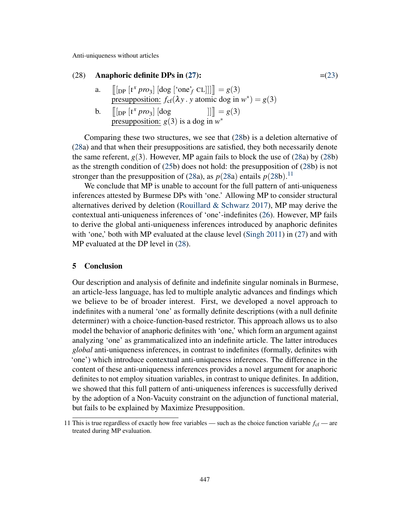# <span id="page-17-0"></span>(28) Anaphoric definite DPs in [\(27\)](#page-16-1):  $=(23)$  $=(23)$

- a.  $\left[ \left[ \ln \left[ i^x \, pro_3 \right] \left[ \text{dog} \left[ \text{`one'}_f \text{CL} \right] \right] \right] \right] = g(3)$ presupposition:  $f_{cf}(\lambda y)$ . *y* atomic dog in  $w^*$ ) = *g*(3)
- **b.**  $\left[ \left[ \ln \left[ i^x \, pro_3 \right] \right] \right] \, \left[ \text{dog} \right]$   $\left[ g(3) \right]$ presupposition:  $g(3)$  is a dog in  $w^*$

Comparing these two structures, we see that [\(28b](#page-17-0)) is a deletion alternative of [\(28a](#page-17-0)) and that when their presuppositions are satisfied, they both necessarily denote the same referent,  $g(3)$ . However, MP again fails to block the use of [\(28a](#page-17-0)) by [\(28b](#page-17-0)) as the strength condition of [\(25b](#page-15-1)) does not hold: the presupposition of [\(28b](#page-17-0)) is not stronger than the presupposition of [\(28a](#page-17-0)), as  $p(28a)$  $p(28a)$  $p(28a)$  entails  $p(28b)$  $p(28b)$  $p(28b)$ .<sup>[11](#page-0-1)</sup>

We conclude that MP is unable to account for the full pattern of anti-uniqueness inferences attested by Burmese DPs with 'one.' Allowing MP to consider structural alternatives derived by deletion (Rouillard  $&$  Schwarz [2017\)](#page-19-13), MP may derive the contextual anti-uniqueness inferences of 'one'-indefinites [\(26\)](#page-16-0). However, MP fails to derive the global anti-uniqueness inferences introduced by anaphoric definites with 'one,' both with MP evaluated at the clause level [\(Singh](#page-19-2) [2011\)](#page-19-2) in  $(27)$  and with MP evaluated at the DP level in [\(28\)](#page-17-0).

#### 5 Conclusion

Our description and analysis of definite and indefinite singular nominals in Burmese, an article-less language, has led to multiple analytic advances and findings which we believe to be of broader interest. First, we developed a novel approach to indefinites with a numeral 'one' as formally definite descriptions (with a null definite determiner) with a choice-function-based restrictor. This approach allows us to also model the behavior of anaphoric definites with 'one,' which form an argument against analyzing 'one' as grammaticalized into an indefinite article. The latter introduces *global* anti-uniqueness inferences, in contrast to indefinites (formally, definites with 'one') which introduce contextual anti-uniqueness inferences. The difference in the content of these anti-uniqueness inferences provides a novel argument for anaphoric definites to not employ situation variables, in contrast to unique definites. In addition, we showed that this full pattern of anti-uniqueness inferences is successfully derived by the adoption of a Non-Vacuity constraint on the adjunction of functional material, but fails to be explained by Maximize Presupposition.

<sup>11</sup> This is true regardless of exactly how free variables — such as the choice function variable  $f_{cf}$  — are treated during MP evaluation.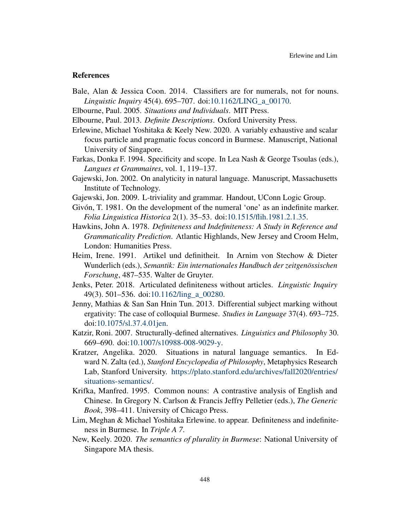#### References

- <span id="page-18-12"></span>Bale, Alan & Jessica Coon. 2014. Classifiers are for numerals, not for nouns. *Linguistic Inquiry* 45(4). 695–707. doi[:10.1162/LING\\_a\\_00170.](https://doi.org/10.1162/LING_a_00170)
- <span id="page-18-7"></span>Elbourne, Paul. 2005. *Situations and Individuals*. MIT Press.
- <span id="page-18-8"></span>Elbourne, Paul. 2013. *Definite Descriptions*. Oxford University Press.
- <span id="page-18-13"></span>Erlewine, Michael Yoshitaka & Keely New. 2020. A variably exhaustive and scalar focus particle and pragmatic focus concord in Burmese. Manuscript, National University of Singapore.
- <span id="page-18-4"></span>Farkas, Donka F. 1994. Specificity and scope. In Lea Nash & George Tsoulas (eds.), *Langues et Grammaires*, vol. 1, 119–137.
- <span id="page-18-14"></span>Gajewski, Jon. 2002. On analyticity in natural language. Manuscript, Massachusetts Institute of Technology.
- <span id="page-18-15"></span>Gajewski, Jon. 2009. L-triviality and grammar. Handout, UConn Logic Group.
- <span id="page-18-10"></span>Givón, T. 1981. On the development of the numeral 'one' as an indefinite marker. *Folia Linguistica Historica* 2(1). 35–53. doi[:10.1515/flih.1981.2.1.35.](https://doi.org/10.1515/flih.1981.2.1.35)
- <span id="page-18-0"></span>Hawkins, John A. 1978. *Definiteness and Indefiniteness: A Study in Reference and Grammaticality Prediction*. Atlantic Highlands, New Jersey and Croom Helm, London: Humanities Press.
- <span id="page-18-1"></span>Heim, Irene. 1991. Artikel und definitheit. In Arnim von Stechow & Dieter Wunderlich (eds.), *Semantik: Ein internationales Handbuch der zeitgenössischen Forschung*, 487–535. Walter de Gruyter.
- <span id="page-18-6"></span>Jenks, Peter. 2018. Articulated definiteness without articles. *Linguistic Inquiry* 49(3). 501–536. doi[:10.1162/ling\\_a\\_00280.](https://doi.org/10.1162/ling_a_00280)
- <span id="page-18-3"></span>Jenny, Mathias & San San Hnin Tun. 2013. Differential subject marking without ergativity: The case of colloquial Burmese. *Studies in Language* 37(4). 693–725. doi[:10.1075/sl.37.4.01jen.](https://doi.org/10.1075/sl.37.4.01jen)
- <span id="page-18-16"></span>Katzir, Roni. 2007. Structurally-defined alternatives. *Linguistics and Philosophy* 30. 669–690. doi[:10.1007/s10988-008-9029-y.](https://doi.org/10.1007/s10988-008-9029-y)
- <span id="page-18-9"></span>Kratzer, Angelika. 2020. Situations in natural language semantics. In Edward N. Zalta (ed.), *Stanford Encyclopedia of Philosophy*, Metaphysics Research Lab, Stanford University. [https://plato.stanford.edu/archives/fall2020/entries/](https://plato.stanford.edu/archives/fall2020/entries/situations-semantics/) [situations-semantics/.](https://plato.stanford.edu/archives/fall2020/entries/situations-semantics/)
- <span id="page-18-11"></span>Krifka, Manfred. 1995. Common nouns: A contrastive analysis of English and Chinese. In Gregory N. Carlson & Francis Jeffry Pelletier (eds.), *The Generic Book*, 398–411. University of Chicago Press.
- <span id="page-18-2"></span>Lim, Meghan & Michael Yoshitaka Erlewine. to appear. Definiteness and indefiniteness in Burmese. In *Triple A 7*.
- <span id="page-18-5"></span>New, Keely. 2020. *The semantics of plurality in Burmese*: National University of Singapore MA thesis.